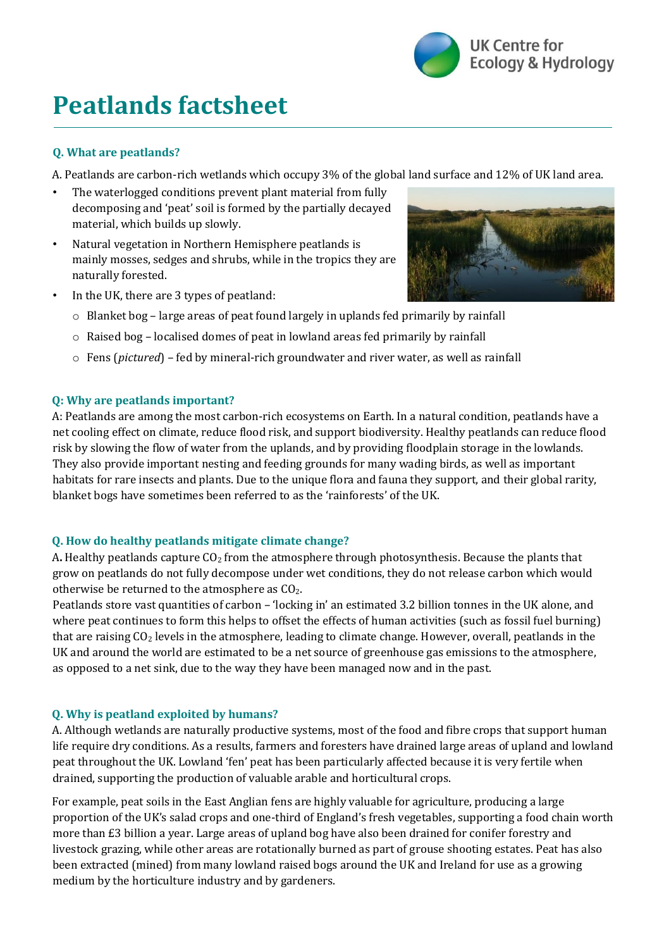

# **Peatlands factsheet**

# **Q. What are peatlands?**

A. Peatlands are carbon-rich wetlands which occupy 3% of the global land surface and 12% of UK land area.

- The waterlogged conditions prevent plant material from fully decomposing and 'peat' soil is formed by the partially decayed material, which builds up slowly.
- Natural vegetation in Northern Hemisphere peatlands is mainly mosses, sedges and shrubs, while in the tropics they are naturally forested.
- 
- In the UK, there are 3 types of peatland:
	- o Blanket bog large areas of peat found largely in uplands fed primarily by rainfall
	- o Raised bog localised domes of peat in lowland areas fed primarily by rainfall
	- o [Fens](https://www.wildlifetrusts.org/habitats/wetlands/lowland-fen) (*pictured*) fed by mineral-rich groundwater and river water, as well as rainfall

#### **Q: Why are peatlands important?**

A: Peatlands are among the most carbon-rich ecosystems on Earth. In a natural condition, peatlands have a net cooling effect on climate, reduce flood risk, and support biodiversity. Healthy peatlands can reduce flood risk by slowing the flow of water from the uplands, and by providing floodplain storage in the lowlands. They also provide important nesting and feeding grounds for many wading birds, as well as important habitats for rare insects and plants. Due to the unique flora and fauna they support, and their global rarity, blanket bogs have sometimes been referred to as the 'rainforests' of the UK.

#### **Q. How do healthy peatlands mitigate climate change?**

A**.** Healthy peatlands capture CO<sup>2</sup> from the atmosphere through photosynthesis. Because the plants that grow on peatlands do not fully decompose under wet conditions, they do not release carbon which would otherwise be returned to the atmosphere as CO2.

Peatlands store vast quantities of carbon – 'locking in' an estimated 3.2 billion tonnes in the UK alone, and where peat continues to form this helps to offset the effects of human activities (such as fossil fuel burning) that are raising CO<sup>2</sup> levels in the atmosphere, leading to climate change. However, overall, peatlands in the UK and around the world are estimated to be a net source of greenhouse gas emissions to the atmosphere, as opposed to a net sink, due to the way they have been managed now and in the past.

#### **Q. Why is peatland exploited by humans?**

A. Although wetlands are naturally productive systems, most of the food and fibre crops that support human life require dry conditions. As a results, farmers and foresters have drained large areas of upland and lowland peat throughout the UK. Lowland 'fen' peat has been particularly affected because it is very fertile when drained, supporting the production of valuable arable and horticultural crops.

For example, peat soils in the East Anglian fens are highly valuable for agriculture, producing a large proportion of the UK's salad crops and one-third of England's fresh vegetables, supporting a food chain worth more than £3 billion a year. Large areas of upland bog have also been drained for conifer forestry and livestock grazing, while other areas are rotationally burned as part of grouse shooting estates. Peat has also been extracted (mined) from many lowland raised bogs around the UK and Ireland for use as a growing medium by the horticulture industry and by gardeners.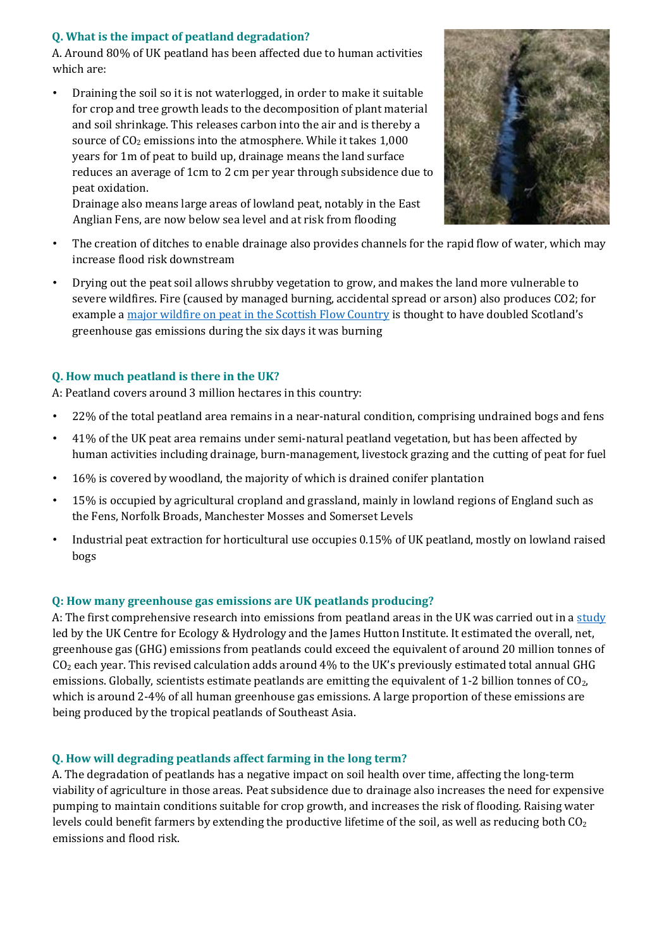## **Q. What is the impact of peatland degradation?**

A. Around 80% of UK peatland has been affected due to human activities which are:

• Draining the soil so it is not waterlogged, in order to make it suitable for crop and tree growth leads to the decomposition of plant material and soil shrinkage. This releases carbon into the air and is thereby a source of CO<sub>2</sub> emissions into the atmosphere. While it takes 1,000 years for 1m of peat to build up, drainage means the land surface reduces an average of 1cm to 2 cm per year through subsidence due to peat oxidation.

Drainage also means large areas of lowland peat, notably in the East Anglian Fens, are now below sea level and at risk from flooding



- The creation of ditches to enable drainage also provides channels for the rapid flow of water, which may increase flood risk downstream
- Drying out the peat soil allows shrubby vegetation to grow, and makes the land more vulnerable to severe wildfires. Fire (caused by managed burning, accidental spread or arson) also produces CO2; for exampl[e a major wildfire on peat in the Scottish Flow Country](https://www.bbc.co.uk/news/uk-scotland-50435811) [i](https://www.bbc.co.uk/news/uk-scotland-50435811)s thought to have doubled Scotland's greenhouse gas emissions during the six days it was burning

# **Q. How much peatland is there in the UK?**

A: Peatland covers around 3 million hectares in this country:

- 22% of the total peatland area remains in a near-natural condition, comprising undrained bogs and fens
- 41% of the UK peat area remains under semi-natural peatland vegetation, but has been affected by human activities including drainage, burn-management, livestock grazing and the cutting of peat for fuel
- 16% is covered by woodland, the majority of which is drained conifer plantation
- 15% is occupied by agricultural cropland and grassland, mainly in lowland regions of England such as the Fens, Norfolk Broads, Manchester Mosses and Somerset Levels
- Industrial peat extraction for horticultural use occupies 0.15% of UK peatland, mostly on lowland raised bogs

#### **Q: How many greenhouse gas emissions are UK peatlands producing?**

A: The first comprehensive research into emissions from peatland areas in the UK was carried out in a [study](https://naei.beis.gov.uk/reports/reports?report_id=980) led by the UK Centre for Ecology & Hydrology and the James Hutton Institute. It estimated the overall, net, greenhouse gas (GHG) emissions from peatlands could exceed the equivalent of around 20 million tonnes of CO<sup>2</sup> each year. This revised calculation adds around 4% to the UK's previously estimated total annual GHG emissions. Globally, scientists estimate peatlands are emitting the equivalent of 1-2 billion tonnes of CO<sub>2</sub>, which is around 2-4% of all human greenhouse gas emissions. A large proportion of these emissions are being produced by the tropical peatlands of Southeast Asia.

#### **Q. How will degrading peatlands affect farming in the long term?**

A. The degradation of peatlands has a negative impact on soil health over time, affecting the long-term viability of agriculture in those areas. Peat subsidence due to drainage also increases the need for expensive pumping to maintain conditions suitable for crop growth, and increases the risk of flooding. Raising water levels could benefit farmers by extending the productive lifetime of the soil, as well as reducing both  $CO<sub>2</sub>$ emissions and flood risk.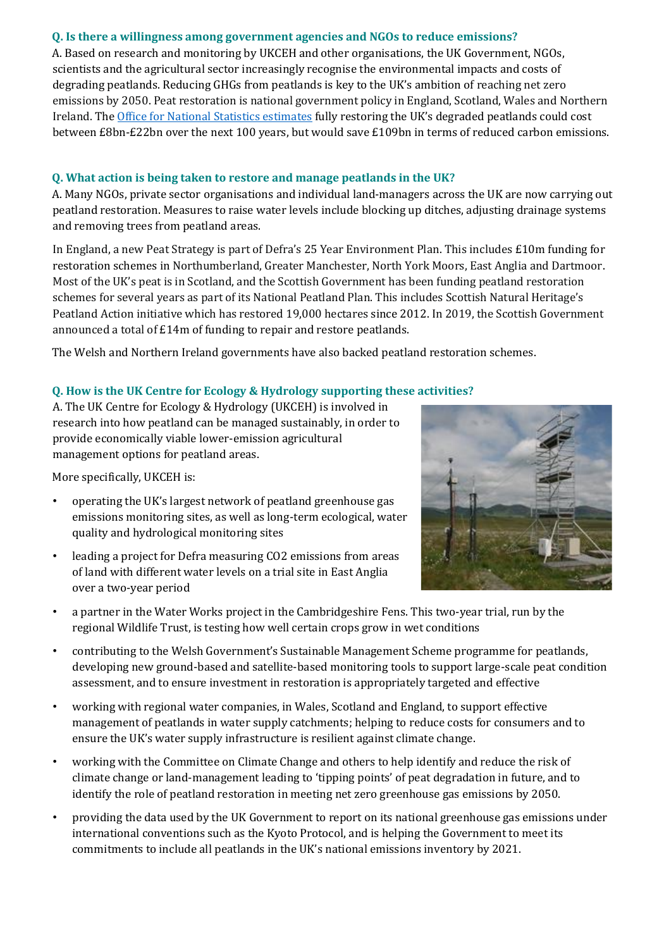#### **Q. Is there a willingness among government agencies and NGOs to reduce emissions?**

A. Based on research and monitoring by UKCEH and other organisations, the UK Government, NGOs, scientists and the agricultural sector increasingly recognise the environmental impacts and costs of degrading peatlands. Reducing GHGs from peatlands is key to the UK's ambition of reaching net zero emissions by 2050. Peat restoration is national government policy in England, Scotland, Wales and Northern Ireland. T[he Office for National Statistics estimates](https://www.ons.gov.uk/economy/environmentalaccounts/bulletins/uknaturalcapitalforpeatlands/naturalcapitalaccounts) fully restoring the UK's degraded peatlands could cost between £8bn-£22bn over the next 100 years, but would save £109bn in terms of reduced carbon emissions.

#### **Q. What action is being taken to restore and manage peatlands in the UK?**

A. Many NGOs, private sector organisations and individual land-managers across the UK are now carrying out peatland restoration. Measures to raise water levels include blocking up ditches, adjusting drainage systems and removing trees from peatland areas.

In England, a new Peat Strategy is part of Defra's 25 Year Environment Plan. This includes £10m funding for restoration schemes in Northumberland, Greater Manchester, North York Moors, East Anglia and Dartmoor. Most of the UK's peat is in Scotland, and the Scottish Government has been funding peatland restoration schemes for several years as part of its National Peatland Plan. This includes Scottish Natural Heritage's Peatland Action initiative which has restored 19,000 hectares since 2012. In 2019, the Scottish Government announced a total [of £14m of funding to repair and restore peatlands.](https://www.bbc.co.uk/news/uk-scotland-highlands-islands-48744548) 

The Welsh and Northern Ireland governments have also backed peatland restoration schemes.

#### **Q. How is the UK Centre for Ecology & Hydrology supporting these activities?**

A. The UK Centre for Ecology & Hydrology (UKCEH) is involved in research into how peatland can be managed sustainably, in order to provide economically viable lower-emission agricultural management options for peatland areas.

More specifically, UKCEH is:

- operating the UK's largest network of peatland greenhouse gas emissions monitoring sites, as well as long-term ecological, water quality and hydrological monitoring sites
- leading a project for Defra measuring CO2 emissions from areas of land with different water levels on a trial site in East Anglia over a two-year period



- a partner in the Water Works project in the Cambridgeshire Fens. This two-year trial, run by the regional Wildlife Trust, is testing how well certain crops grow in wet conditions
- contributing to the Welsh Government's Sustainable Management Scheme programme for peatlands, developing new ground-based and satellite-based monitoring tools to support large-scale peat condition assessment, and to ensure investment in restoration is appropriately targeted and effective
- working with regional water companies, in Wales, Scotland and England, to support effective management of peatlands in water supply catchments; helping to reduce costs for consumers and to ensure the UK's water supply infrastructure is resilient against climate change.
- working with the Committee on Climate Change and others to help identify and reduce the risk of climate change or land-management leading to 'tipping points' of peat degradation in future, and to identify the role of peatland restoration in meeting net zero greenhouse gas emissions by 2050.
- providing the data used by the UK Government to report on its national greenhouse gas emissions under international conventions such as the Kyoto Protocol, and is helping the Government to meet its commitments to include all peatlands in the UK's national emissions inventory by 2021.